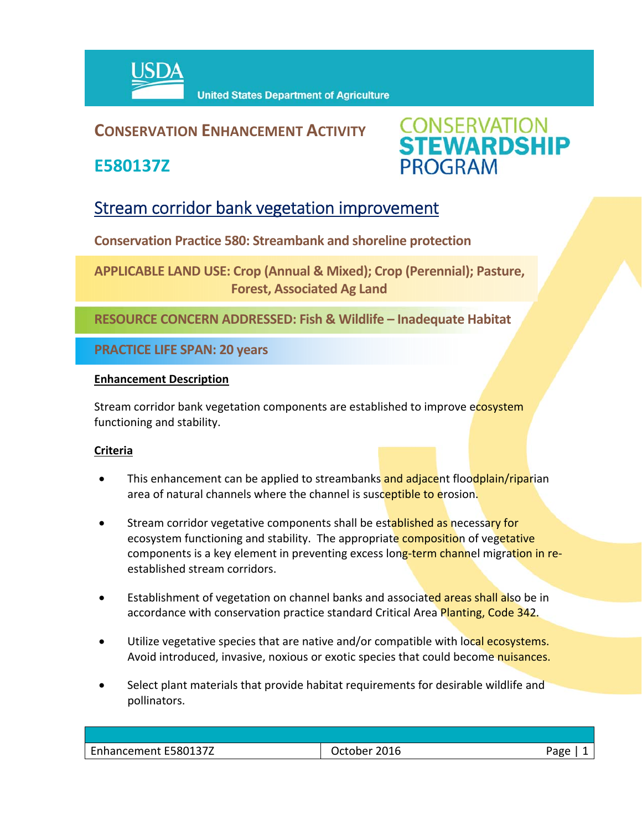

### **CONSERVATION ENHANCEMENT ACTIVITY**

**E580137Z**



## Stream corridor bank vegetation improvement

**Conservation Practice 580: Streambank and shoreline protection**

**APPLICABLE LAND USE: Crop (Annual & Mixed); Crop (Perennial); Pasture, Forest, Associated Ag Land**

**RESOURCE CONCERN ADDRESSED: Fish & Wildlife – Inadequate Habitat**

**PRACTICE LIFE SPAN: 20 years**

#### **Enhancement Description**

Stream corridor bank vegetation components are established to improve ecosystem functioning and stability.

#### **Criteria**

- This enhancement can be applied to streambanks and adjacent floodplain/riparian area of natural channels where the channel is susceptible to erosion.
- Stream corridor vegetative components shall be established as necessary for ecosystem functioning and stability. The appropriate composition of vegetative components is a key element in preventing excess long-term channel migration in reestablished stream corridors.
- Establishment of vegetation on channel banks and associated areas shall also be in accordance with conservation practice standard Critical Area Planting, Code 342.
- Utilize vegetative species that are native and/or compatible with local ecosystems. Avoid introduced, invasive, noxious or exotic species that could become nuisances.
- Select plant materials that provide habitat requirements for desirable wildlife and pollinators.

| Enhancement E580137Z | 2016<br>)ctober | aee' |
|----------------------|-----------------|------|
|                      |                 |      |